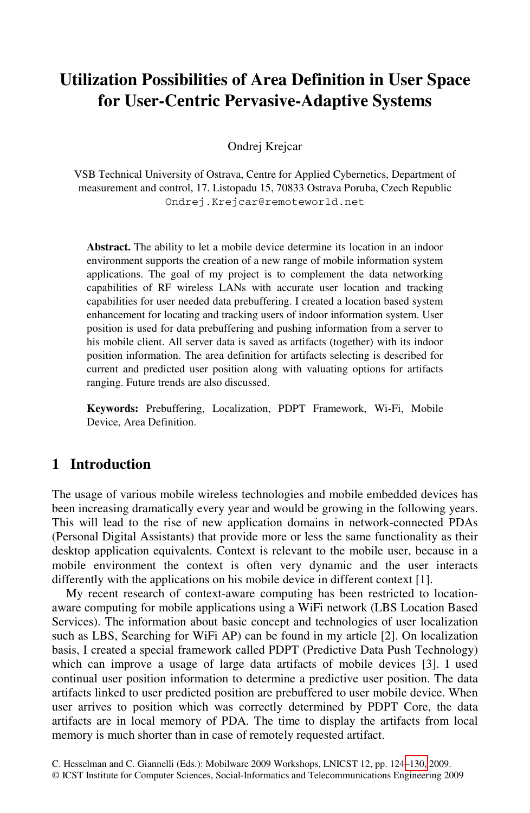# **Utilization Possibilities of Area Definition in User Space for User-Centric Pervasive-Adaptive Systems**

Ondrej Krejcar

VSB Technical University of Ostrava, Centre for Applied Cybernetics, Department of measurement and control, 17. Listopadu 15, 70833 Ostrava Poruba, Czech Republic Ondrej.Krejcar@remoteworld.net

**Abstract.** The ability to let a mobile device determine its location in an indoor environment supports the creation of a new range of mobile information system applications. The goal of my project is to complement the data networking capabilities of RF wireless LANs with accurate user location and tracking capabilities for user needed data prebuffering. I created a location based system enhancement for locating and tracking users of indoor information system. User position is used for data prebuffering and pushing information from a server to his mobile client. All server data is saved as artifacts (together) with its indoor position information. The area definition for artifacts selecting is described for current and predicted user position along with valuating options for artifacts ranging. Future trends are also discussed.

**Keywords:** Prebuffering, Localization, PDPT Framework, Wi-Fi, Mobile Device, Area Definition.

### **1 Introduction**

The usage of various mobile wireless technologies and mobile embedded devices has been increasing dramatically every year and would be growing in the following years. This will lead to the rise of new application domains in network-connected PDAs (Personal Digital Assistants) that provide more or less the same functionality as their desktop application equivalents. Context is relevant to the mobile user, because in a mobile environment the context is often very dynamic and the user interacts differently with the applications on his mobile device in different context [1].

My recent research of context-aware computing has been restricted to locationaware computing for mobile applications using a WiFi network (LBS Location Based Services). The information about basic concept and technologies of user localization such as LBS, Searching for WiFi AP) can be found in my article [2]. On localization basis, I created a special framework called PDPT (Predictive Data Push Technology) which can improve a usage of large data artifacts of mobile devices [3]. I used continual user position information to determine a predictive user position. The data artifacts linked to user predicted position are prebuffered to user mobile device. When user arrives to position which was correctly determined by PDPT Core, the data artifacts are in local memory of PDA. The time to display the artifacts from local memory is much shorter than in case of remotely requested artifact.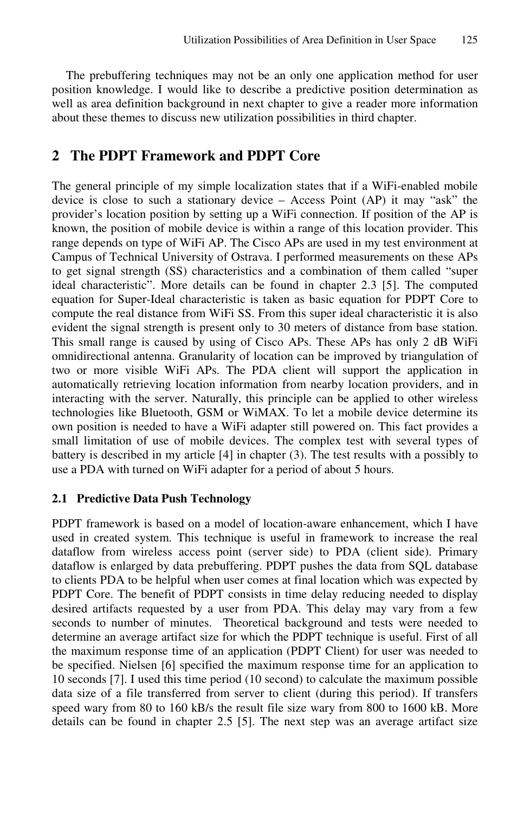The prebuffering techniques may not be an only one application method for user position knowledge. I would like to describe a predictive position determination as well as area definition background in next chapter to give a reader more information about these themes to discuss new utilization possibilities in third chapter.

### **2 The PDPT Framework and PDPT Core**

The general principle of my simple localization states that if a WiFi-enabled mobile device is close to such a stationary device – Access Point (AP) it may "ask" the provider's location position by setting up a WiFi connection. If position of the AP is known, the position of mobile device is within a range of this location provider. This range depends on type of WiFi AP. The Cisco APs are used in my test environment at Campus of Technical University of Ostrava. I performed measurements on these APs to get signal strength (SS) characteristics and a combination of them called "super ideal characteristic". More details can be found in chapter 2.3 [5]. The computed equation for Super-Ideal characteristic is taken as basic equation for PDPT Core to compute the real distance from WiFi SS. From this super ideal characteristic it is also evident the signal strength is present only to 30 meters of distance from base station. This small range is caused by using of Cisco APs. These APs has only 2 dB WiFi omnidirectional antenna. Granularity of location can be improved by triangulation of two or more visible WiFi APs. The PDA client will support the application in automatically retrieving location information from nearby location providers, and in interacting with the server. Naturally, this principle can be applied to other wireless technologies like Bluetooth, GSM or WiMAX. To let a mobile device determine its own position is needed to have a WiFi adapter still powered on. This fact provides a small limitation of use of mobile devices. The complex test with several types of battery is described in my article [4] in chapter (3). The test results with a possibly to use a PDA with turned on WiFi adapter for a period of about 5 hours.

#### **2.1 Predictive Data Push Technology**

PDPT framework is based on a model of location-aware enhancement, which I have used in created system. This technique is useful in framework to increase the real dataflow from wireless access point (server side) to PDA (client side). Primary dataflow is enlarged by data prebuffering. PDPT pushes the data from SQL database to clients PDA to be helpful when user comes at final location which was expected by PDPT Core. The benefit of PDPT consists in time delay reducing needed to display desired artifacts requested by a user from PDA. This delay may vary from a few seconds to number of minutes. Theoretical background and tests were needed to determine an average artifact size for which the PDPT technique is useful. First of all the maximum response time of an application (PDPT Client) for user was needed to be specified. Nielsen [6] specified the maximum response time for an application to 10 seconds [7]. I used this time period (10 second) to calculate the maximum possible data size of a file transferred from server to client (during this period). If transfers speed wary from 80 to 160 kB/s the result file size wary from 800 to 1600 kB. More details can be found in chapter 2.5 [5]. The next step was an average artifact size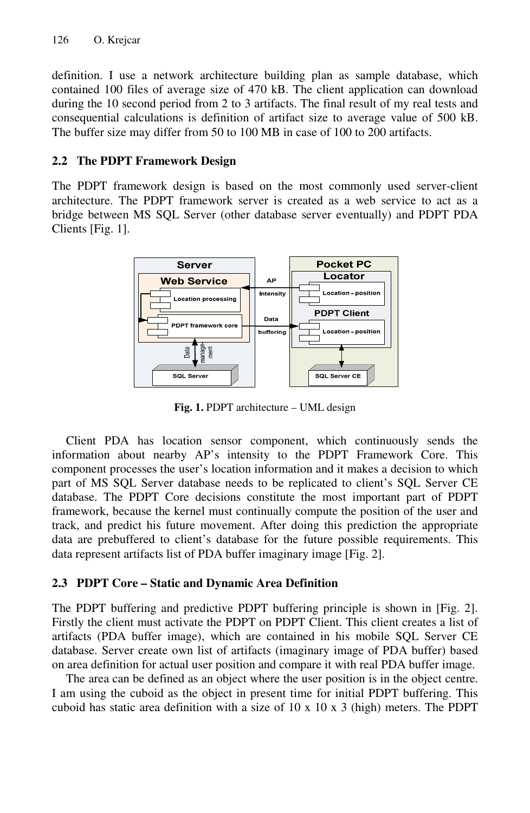definition. I use a network architecture building plan as sample database, which contained 100 files of average size of 470 kB. The client application can download during the 10 second period from 2 to 3 artifacts. The final result of my real tests and consequential calculations is definition of artifact size to average value of 500 kB. The buffer size may differ from 50 to 100 MB in case of 100 to 200 artifacts.

#### **2.2 The PDPT Framework Design**

The PDPT framework design is based on the most commonly used server-client architecture. The PDPT framework server is created as a web service to act as a bridge between MS SQL Server (other database server eventually) and PDPT PDA Clients [Fig. 1].



**Fig. 1.** PDPT architecture – UML design

Client PDA has location sensor component, which continuously sends the information about nearby AP's intensity to the PDPT Framework Core. This component processes the user's location information and it makes a decision to which part of MS SQL Server database needs to be replicated to client's SQL Server CE database. The PDPT Core decisions constitute the most important part of PDPT framework, because the kernel must continually compute the position of the user and track, and predict his future movement. After doing this prediction the appropriate data are prebuffered to client's database for the future possible requirements. This data represent artifacts list of PDA buffer imaginary image [Fig. 2].

#### **2.3 PDPT Core – Static and Dynamic Area Definition**

The PDPT buffering and predictive PDPT buffering principle is shown in [Fig. 2]. Firstly the client must activate the PDPT on PDPT Client. This client creates a list of artifacts (PDA buffer image), which are contained in his mobile SQL Server CE database. Server create own list of artifacts (imaginary image of PDA buffer) based on area definition for actual user position and compare it with real PDA buffer image.

The area can be defined as an object where the user position is in the object centre. I am using the cuboid as the object in present time for initial PDPT buffering. This cuboid has static area definition with a size of  $10 \times 10 \times 3$  (high) meters. The PDPT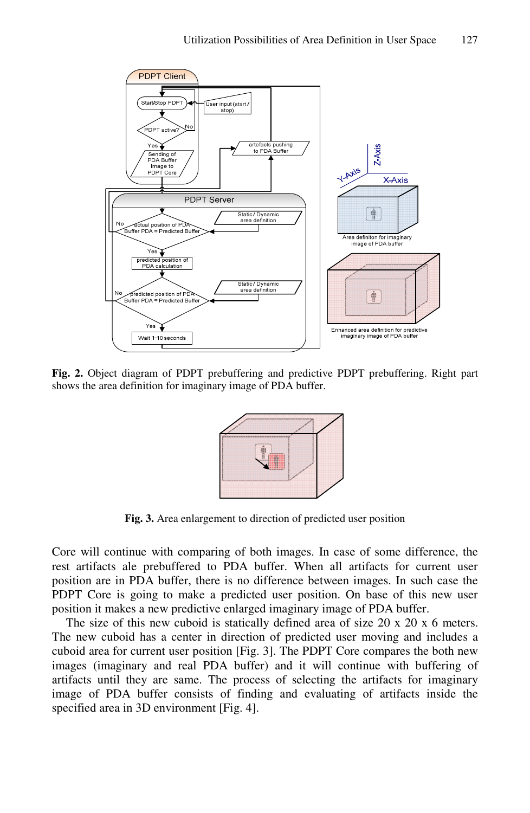

**Fig. 2.** Object diagram of PDPT prebuffering and predictive PDPT prebuffering. Right part shows the area definition for imaginary image of PDA buffer.



**Fig. 3.** Area enlargement to direction of predicted user position

Core will continue with comparing of both images. In case of some difference, the rest artifacts ale prebuffered to PDA buffer. When all artifacts for current user position are in PDA buffer, there is no difference between images. In such case the PDPT Core is going to make a predicted user position. On base of this new user position it makes a new predictive enlarged imaginary image of PDA buffer.

The size of this new cuboid is statically defined area of size 20 x 20 x 6 meters. The new cuboid has a center in direction of predicted user moving and includes a cuboid area for current user position [Fig. 3]. The PDPT Core compares the both new images (imaginary and real PDA buffer) and it will continue with buffering of artifacts until they are same. The process of selecting the artifacts for imaginary image of PDA buffer consists of finding and evaluating of artifacts inside the specified area in 3D environment [Fig. 4].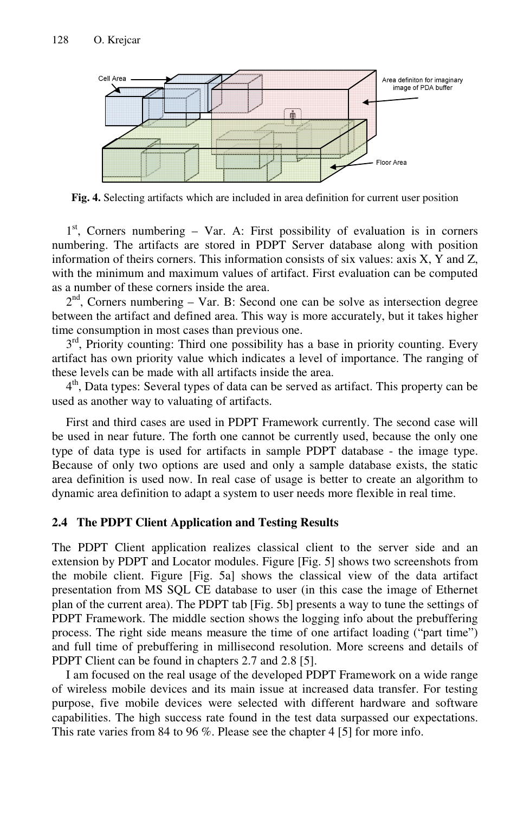

**Fig. 4.** Selecting artifacts which are included in area definition for current user position

 $1<sup>st</sup>$ , Corners numbering – Var. A: First possibility of evaluation is in corners numbering. The artifacts are stored in PDPT Server database along with position information of theirs corners. This information consists of six values: axis X, Y and Z, with the minimum and maximum values of artifact. First evaluation can be computed as a number of these corners inside the area.

 $2<sup>nd</sup>$ . Corners numbering – Var. B: Second one can be solve as intersection degree between the artifact and defined area. This way is more accurately, but it takes higher time consumption in most cases than previous one.

 $3<sup>rd</sup>$ , Priority counting: Third one possibility has a base in priority counting. Every artifact has own priority value which indicates a level of importance. The ranging of these levels can be made with all artifacts inside the area.

 $4<sup>th</sup>$ , Data types: Several types of data can be served as artifact. This property can be used as another way to valuating of artifacts.

First and third cases are used in PDPT Framework currently. The second case will be used in near future. The forth one cannot be currently used, because the only one type of data type is used for artifacts in sample PDPT database - the image type. Because of only two options are used and only a sample database exists, the static area definition is used now. In real case of usage is better to create an algorithm to dynamic area definition to adapt a system to user needs more flexible in real time.

#### **2.4 The PDPT Client Application and Testing Results**

The PDPT Client application realizes classical client to the server side and an extension by PDPT and Locator modules. Figure [Fig. 5] shows two screenshots from the mobile client. Figure [Fig. 5a] shows the classical view of the data artifact presentation from MS SQL CE database to user (in this case the image of Ethernet plan of the current area). The PDPT tab [Fig. 5b] presents a way to tune the settings of PDPT Framework. The middle section shows the logging info about the prebuffering process. The right side means measure the time of one artifact loading ("part time") and full time of prebuffering in millisecond resolution. More screens and details of PDPT Client can be found in chapters 2.7 and 2.8 [5].

I am focused on the real usage of the developed PDPT Framework on a wide range of wireless mobile devices and its main issue at increased data transfer. For testing purpose, five mobile devices were selected with different hardware and software capabilities. The high success rate found in the test data surpassed our expectations. This rate varies from 84 to 96 %. Please see the chapter 4 [5] for more info.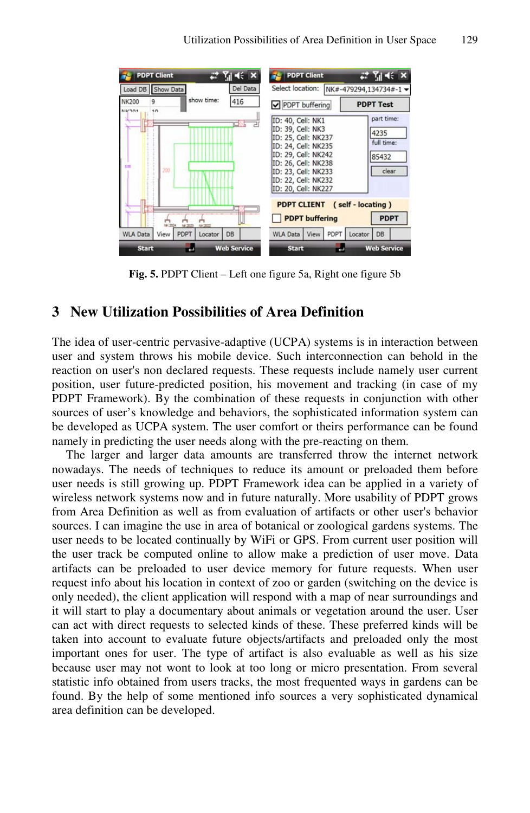

**Fig. 5.** PDPT Client – Left one figure 5a, Right one figure 5b

#### **3 New Utilization Possibilities of Area Definition**

The idea of user-centric pervasive-adaptive (UCPA) systems is in interaction between user and system throws his mobile device. Such interconnection can behold in the reaction on user's non declared requests. These requests include namely user current position, user future-predicted position, his movement and tracking (in case of my PDPT Framework). By the combination of these requests in conjunction with other sources of user's knowledge and behaviors, the sophisticated information system can be developed as UCPA system. The user comfort or theirs performance can be found namely in predicting the user needs along with the pre-reacting on them.

The larger and larger data amounts are transferred throw the internet network nowadays. The needs of techniques to reduce its amount or preloaded them before user needs is still growing up. PDPT Framework idea can be applied in a variety of wireless network systems now and in future naturally. More usability of PDPT grows from Area Definition as well as from evaluation of artifacts or other user's behavior sources. I can imagine the use in area of botanical or zoological gardens systems. The user needs to be located continually by WiFi or GPS. From current user position will the user track be computed online to allow make a prediction of user move. Data artifacts can be preloaded to user device memory for future requests. When user request info about his location in context of zoo or garden (switching on the device is only needed), the client application will respond with a map of near surroundings and it will start to play a documentary about animals or vegetation around the user. User can act with direct requests to selected kinds of these. These preferred kinds will be taken into account to evaluate future objects/artifacts and preloaded only the most important ones for user. The type of artifact is also evaluable as well as his size because user may not wont to look at too long or micro presentation. From several statistic info obtained from users tracks, the most frequented ways in gardens can be found. By the help of some mentioned info sources a very sophisticated dynamical area definition can be developed.